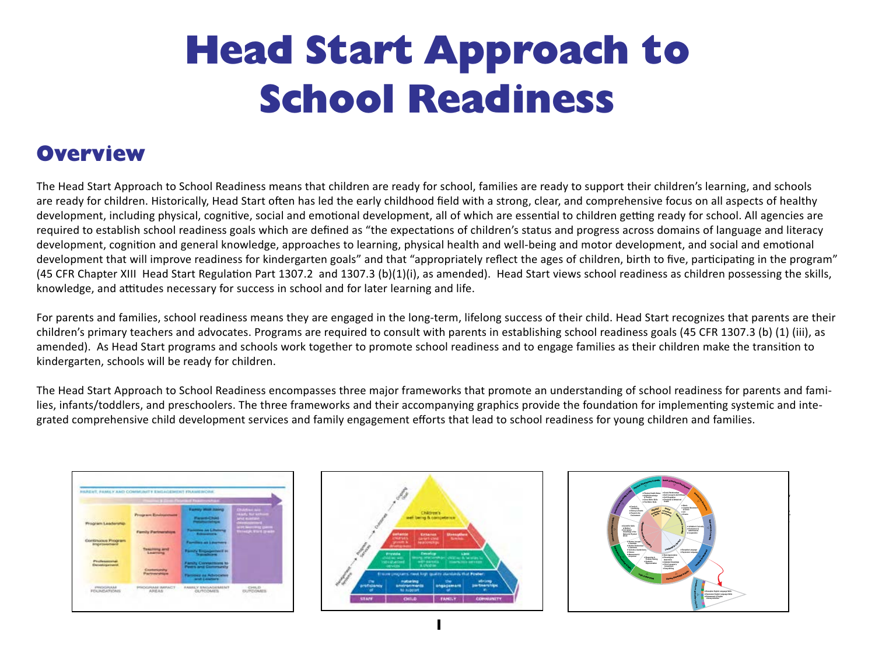# **Head Start Approach to School Readiness**

### **Overview**

The Head Start Approach to School Readiness means that children are ready for school, families are ready to support their children's learning, and schools are ready for children. Historically, Head Start often has led the early childhood field with a strong, clear, and comprehensive focus on all aspects of healthy development, including physical, cognitive, social and emotional development, all of which are essential to children getting ready for school. All agencies are required to establish school readiness goals which are defined as "the expectations of children's status and progress across domains of language and literacy development, cognition and general knowledge, approaches to learning, physical health and well-being and motor development, and social and emotional development that will improve readiness for kindergarten goals" and that "appropriately reflect the ages of children, birth to five, participating in the program" (45 CFR Chapter XIII Head Start Regulation Part 1307.2 and 1307.3 (b)(1)(i), as amended). Head Start views school readiness as children possessing the skills, knowledge, and attitudes necessary for success in school and for later learning and life.

For parents and families, school readiness means they are engaged in the long-term, lifelong success of their child. Head Start recognizes that parents are their children's primary teachers and advocates. Programs are required to consult with parents in establishing school readiness goals (45 CFR 1307.3 (b) (1) (iii), as amended). As Head Start programs and schools work together to promote school readiness and to engage families as their children make the transition to kindergarten, schools will be ready for children.

The Head Start Approach to School Readiness encompasses three major frameworks that promote an understanding of school readiness for parents and families, infants/toddlers, and preschoolers. The three frameworks and their accompanying graphics provide the foundation for implementing systemic and integrated comprehensive child development services and family engagement efforts that lead to school readiness for young children and families.

|                                          | <b>College College</b>                        | <b>ALLE FINANCING CONTROL</b>                                                                                                                                                                                                                                                             |                                                                  |
|------------------------------------------|-----------------------------------------------|-------------------------------------------------------------------------------------------------------------------------------------------------------------------------------------------------------------------------------------------------------------------------------------------|------------------------------------------------------------------|
| Program Leadership                       | <b>Program Entrances</b>                      | <b><i>Elementy Wood Institute</i></b><br><b><i><u>Contract Contract Contract Contract Contract Contract Contract Contract Contract Contract Contract Contract Contract Contract Contract Contract Contract Contract Contract Contract Contract Contract Contract Contract Con</u></i></b> | <b><i>Distribution</i></b><br>ralarly film safe<br>Mrvd Kvintane |
|                                          | Farmly Fartmenships                           | <b>Fibresons an Liter</b>                                                                                                                                                                                                                                                                 | <b>Little control 1</b><br><b>Ministry Work greate</b>           |
| Continuous Program<br><b>Improvement</b> | <b>Touching and</b><br>Learning               | <b>Families</b> at Learners                                                                                                                                                                                                                                                               |                                                                  |
| Professional<br>Development              | <b>Contenionity</b><br><b>Plantnute shume</b> | Family Conventions to<br><b>Peers and Governority</b><br>Flaminist as Advocates<br>and Leaders                                                                                                                                                                                            |                                                                  |
| PHILIPPINA<br><b>FELIMEATIONS</b>        | <b>PROGRAM IMPACT</b><br>法院更太权                | <b>FAMILY ENGAGEMENT</b><br><b>OUTCOMES</b>                                                                                                                                                                                                                                               | CHAIN TO<br><b>BUFBOARS</b>                                      |



**1**

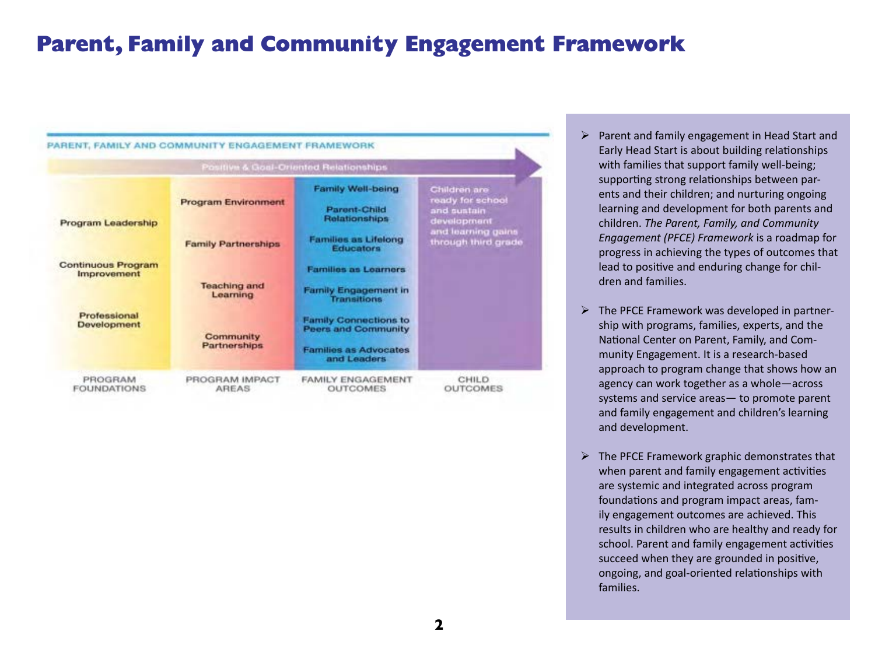## **Parent, Family and Community Engagement Framework**

|                                          |                                 | Positive & Goal-Oriented Relationships                                                                    |                                                                |
|------------------------------------------|---------------------------------|-----------------------------------------------------------------------------------------------------------|----------------------------------------------------------------|
| Program Leadership                       | <b>Program Environment</b>      | Family Well-being<br><b>Parent-Child</b><br>Relationships                                                 | Children are<br>ready for school<br>and sustain<br>development |
|                                          | <b>Family Partnerships</b>      | <b>Families as Lifelong</b><br><b>Educators</b>                                                           | and learning gains<br>through third grade                      |
| <b>Continuous Program</b><br>Improvement | <b>Teaching and</b><br>Learning | <b>Families as Learners</b><br>Family Engagement in<br><b>Transitions</b>                                 |                                                                |
| Professional<br>Development              | Community<br>Partnerships       | <b>Family Connections to</b><br><b>Peers and Community</b><br><b>Families as Advocates</b><br>and Leaders |                                                                |
| PROGRAM<br><b>FOUNDATIONS</b>            | PROGRAM IMPACT<br><b>AREAS</b>  | <b>FAMILY ENGAGEMENT</b><br><b>OUTCOMES</b>                                                               | CHILD.<br><b>OUTCOMES</b>                                      |

- $\triangleright$  Parent and family engagement in Head Start and Early Head Start is about building relationships with families that support family well-being; supporting strong relationships between parents and their children; and nurturing ongoing learning and development for both parents and children. *The Parent, Family, and Community Engagement (PFCE) Framework* is a roadmap for progress in achieving the types of outcomes that lead to positive and enduring change for children and families.
- $\triangleright$  The PFCE Framework was developed in partnership with programs, families, experts, and the National Center on Parent, Family, and Community Engagement. It is a research-based approach to program change that shows how an agency can work together as a whole—across systems and service areas— to promote parent and family engagement and children's learning and development.
- $\triangleright$  The PFCE Framework graphic demonstrates that when parent and family engagement activities are systemic and integrated across program foundations and program impact areas, family engagement outcomes are achieved. This results in children who are healthy and ready for school. Parent and family engagement activities succeed when they are grounded in positive, ongoing, and goal-oriented relationships with families.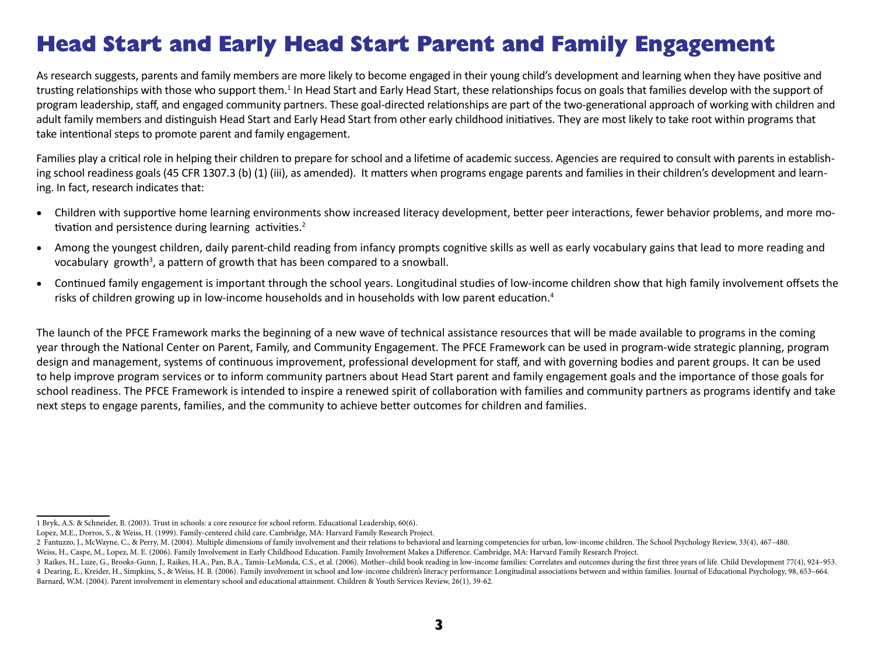### **Head Start and Early Head Start Parent and Family Engagement**

As research suggests, parents and family members are more likely to become engaged in their young child's development and learning when they have positive and trusting relationships with those who support them.<sup>1</sup> In Head Start and Early Head Start, these relationships focus on goals that families develop with the support of program leadership, staff, and engaged community partners. These goal-directed relationships are part of the two-generational approach of working with children and adult family members and distinguish Head Start and Early Head Start from other early childhood initiatives. They are most likely to take root within programs that take intentional steps to promote parent and family engagement.

Families play a critical role in helping their children to prepare for school and a lifetime of academic success. Agencies are required to consult with parents in establishing school readiness goals (45 CFR 1307.3 (b) (1) (iii), as amended). It matters when programs engage parents and families in their children's development and learning. In fact, research indicates that:

- Children with supportive home learning environments show increased literacy development, better peer interactions, fewer behavior problems, and more motivation and persistence during learning activities.<sup>2</sup>
- Among the youngest children, daily parent-child reading from infancy prompts cognitive skills as well as early vocabulary gains that lead to more reading and vocabulary growth<sup>3</sup>, a pattern of growth that has been compared to a snowball.
- Continued family engagement is important through the school years. Longitudinal studies of low-income children show that high family involvement offsets the risks of children growing up in low-income households and in households with low parent education.<sup>4</sup>

The launch of the PFCE Framework marks the beginning of a new wave of technical assistance resources that will be made available to programs in the coming year through the National Center on Parent, Family, and Community Engagement. The PFCE Framework can be used in program-wide strategic planning, program design and management, systems of continuous improvement, professional development for staff, and with governing bodies and parent groups. It can be used to help improve program services or to inform community partners about Head Start parent and family engagement goals and the importance of those goals for school readiness. The PFCE Framework is intended to inspire a renewed spirit of collaboration with families and community partners as programs identify and take next steps to engage parents, families, and the community to achieve better outcomes for children and families.

<sup>1</sup> Bryk, A.S. & Schneider, B. (2003). Trust in schools: a core resource for school reform. Educational Leadership, 60(6).

Lopez, M.E., Dorros, S., & Weiss, H. (1999). Family-centered child care. Cambridge, MA: Harvard Family Research Project.

<sup>2</sup> Fantuzzo, J., McWayne, C., & Perry, M. (2004). Multiple dimensions of family involvement and their relations to behavioral and learning competencies for urban, low-income children. The School Psychology Review, 33(4), 46 Weiss, H., Caspe, M., Lopez, M. E. (2006). Family Involvement in Early Childhood Education. Family Involvement Makes a Difference. Cambridge, MA: Harvard Family Research Project.

<sup>3</sup> Raikes, H., Luze, G., Brooks-Gunn, J., Raikes, H.A., Pan, B.A., Tamis-LeMonda, C.S., et al. (2006). Mother-child book reading in low-income families: Correlates and outcomes during the first three years of life. Child De 4 Dearing, E., Kreider, H., Simpkins, S., & Weiss, H. B. (2006). Family involvement in school and low-income children's literacy performance: Longitudinal associations between and within families. Journal of Educational Ps

Barnard, W.M. (2004). Parent involvement in elementary school and educational attainment. Children & Youth Services Review, 26(1), 39-62.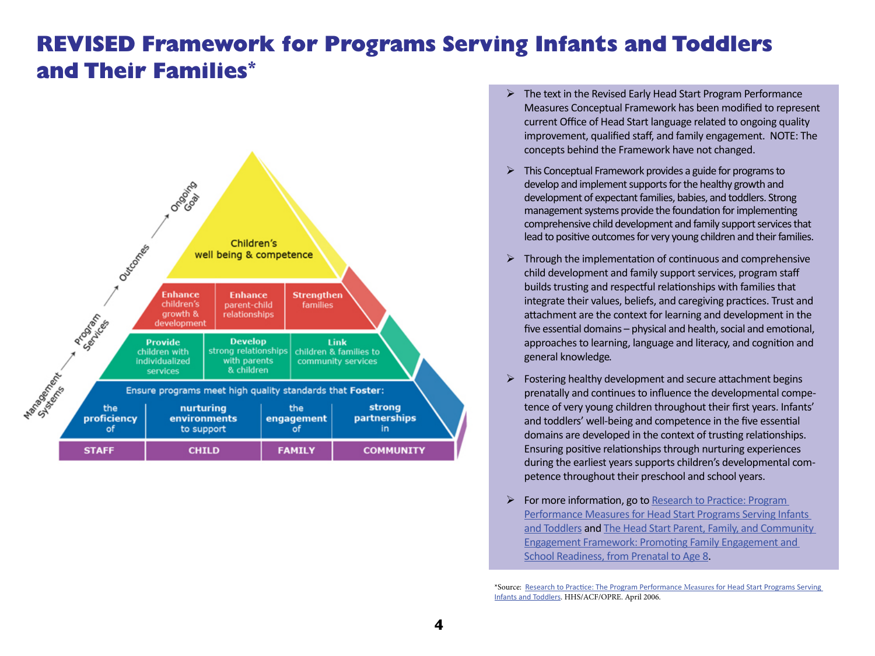### **REVISED Framework for Programs Serving Infants and Toddlers and Their Families\***



- The text in the Revised Early Head Start Program Performance Measures Conceptual Framework has been modified to represent current Office of Head Start language related to ongoing quality improvement, qualified staff, and family engagement. NOTE: The concepts behind the Framework have not changed.
- $\triangleright$  This Conceptual Framework provides a guide for programs to develop and implement supports for the healthy growth and development of expectant families, babies, and toddlers. Strong management systems provide the foundation for implementing comprehensive child development and family support services that lead to positive outcomes for very young children and their families.
- $\triangleright$  Through the implementation of continuous and comprehensive child development and family support services, program staff builds trusting and respectful relationships with families that integrate their values, beliefs, and caregiving practices. Trust and attachment are the context for learning and development in the five essential domains – physical and health, social and emotional, approaches to learning, language and literacy, and cognition and general knowledge.
- $\triangleright$  Fostering healthy development and secure attachment begins prenatally and continues to influence the developmental competence of very young children throughout their first years. Infants' and toddlers' well-being and competence in the five essential domains are developed in the context of trusting relationships. Ensuring positive relationships through nurturing experiences during the earliest years supports children's developmental competence throughout their preschool and school years.
- ¾ For more information, go to [Research to Practice: Program](http://www.acf.hhs.gov/programs/opre/ehs/perf_measures/reports/prgm_perf_measures/prgm_perf_measure_4pg.pdf)  [Performance Measures for Head Start Programs Serving Infants](http://www.acf.hhs.gov/programs/opre/ehs/perf_measures/reports/prgm_perf_measures/prgm_perf_measure_4pg.pdf)  [and Toddlers](http://www.acf.hhs.gov/programs/opre/ehs/perf_measures/reports/prgm_perf_measures/prgm_perf_measure_4pg.pdf) and [The Head Start Parent, Family, and Community](http://eclkc.ohs.acf.hhs.gov/hslc/standards/IMs/2011/pfce-framework.pdf)  [Engagement Framework: Promoting Family Engagement and](http://eclkc.ohs.acf.hhs.gov/hslc/standards/IMs/2011/pfce-framework.pdf)  [School Readiness, from Prenatal to Age 8](http://eclkc.ohs.acf.hhs.gov/hslc/standards/IMs/2011/pfce-framework.pdf).

\*Source: [Research to Practice: The Program Performance](http://www.acf.hhs.gov/programs/opre/ehs/perf_measures/reports/prgm_perf_measures/prgm_perf_measure_4pg.pdf) Measures for Head Start Programs Serving [Infants and Toddlers](http://www.acf.hhs.gov/programs/opre/ehs/perf_measures/reports/prgm_perf_measures/prgm_perf_measure_4pg.pdf). HHS/ACF/OPRE. April 2006.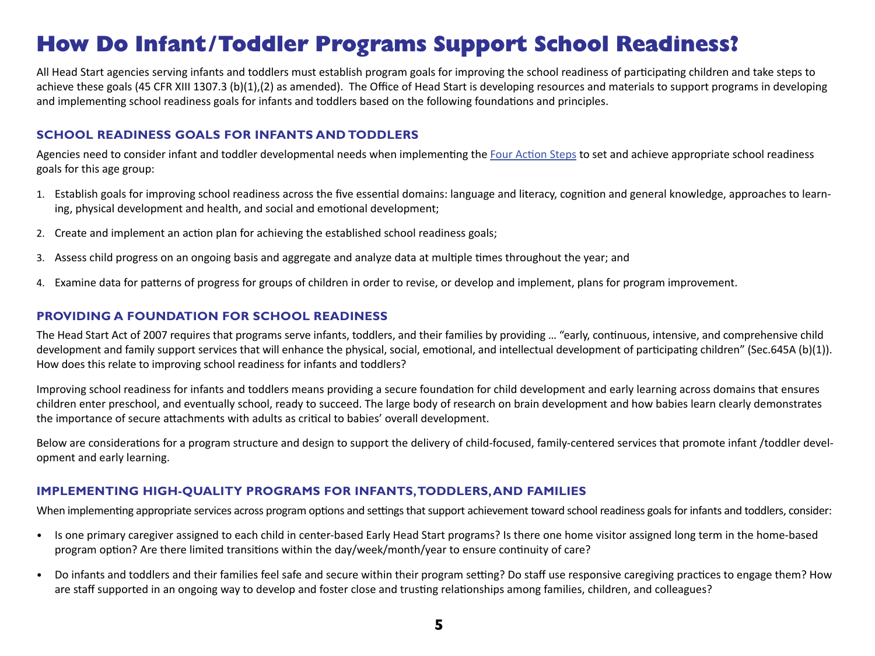## **How Do Infant/Toddler Programs Support School Readiness?**

All Head Start agencies serving infants and toddlers must establish program goals for improving the school readiness of participating children and take steps to achieve these goals (45 CFR XIII 1307.3 (b)(1),(2) as amended). The Office of Head Start is developing resources and materials to support programs in developing and implementing school readiness goals for infants and toddlers based on the following foundations and principles.

#### **SCHOOL READINESS GOALS FOR INFANTS AND TODDLERS**

Agencies need to consider infant and toddler developmental needs when implementing th[e Four Action Steps](http://eclkc.ohs.acf.hhs.gov/hslc/tta-system/ehsnrc/Early%20Head%20Start/early-learning/curriculum/SchoolReadiness.htm) to set and achieve appropriate school readiness goals for this age group:

- 1. Establish goals for improving school readiness across the five essential domains: language and literacy, cognition and general knowledge, approaches to learning, physical development and health, and social and emotional development;
- 2. Create and implement an action plan for achieving the established school readiness goals;
- 3. Assess child progress on an ongoing basis and aggregate and analyze data at multiple times throughout the year; and
- 4. Examine data for patterns of progress for groups of children in order to revise, or develop and implement, plans for program improvement.

#### **PROVIDING A FOUNDATION FOR SCHOOL READINESS**

The Head Start Act of 2007 requires that programs serve infants, toddlers, and their families by providing … "early, continuous, intensive, and comprehensive child development and family support services that will enhance the physical, social, emotional, and intellectual development of participating children" (Sec.645A (b)(1)). How does this relate to improving school readiness for infants and toddlers?

Improving school readiness for infants and toddlers means providing a secure foundation for child development and early learning across domains that ensures children enter preschool, and eventually school, ready to succeed. The large body of research on brain development and how babies learn clearly demonstrates the importance of secure attachments with adults as critical to babies' overall development.

Below are considerations for a program structure and design to support the delivery of child-focused, family-centered services that promote infant /toddler development and early learning.

#### **IMPLEMENTING HIGH-QUALITY PROGRAMS FOR INFANTS,TODDLERS,AND FAMILIES**

When implementing appropriate services across program options and settings that support achievement toward school readiness goals for infants and toddlers, consider:

- Is one primary caregiver assigned to each child in center-based Early Head Start programs? Is there one home visitor assigned long term in the home-based program option? Are there limited transitions within the day/week/month/year to ensure continuity of care?
- Do infants and toddlers and their families feel safe and secure within their program setting? Do staff use responsive caregiving practices to engage them? How are staff supported in an ongoing way to develop and foster close and trusting relationships among families, children, and colleagues?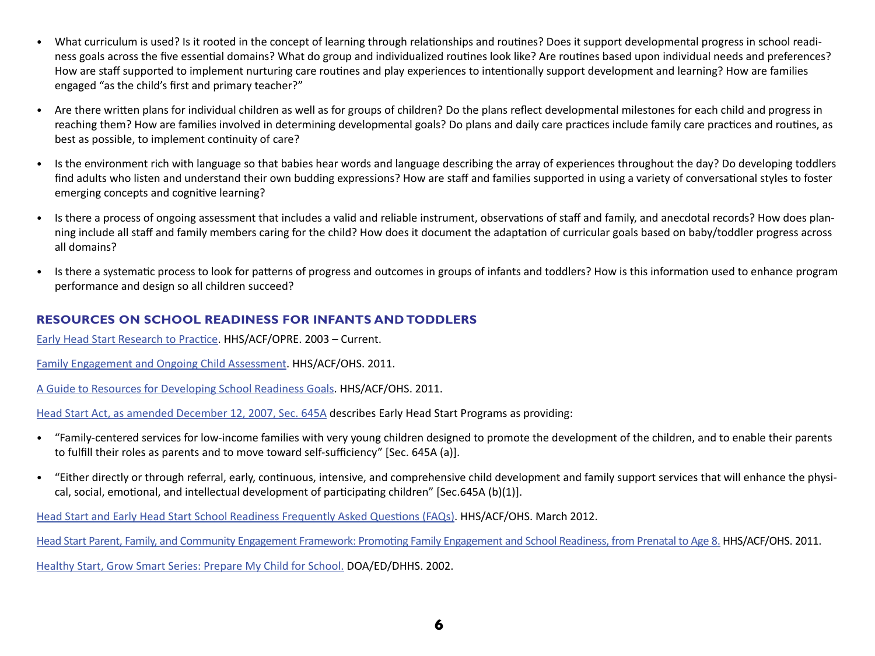- What curriculum is used? Is it rooted in the concept of learning through relationships and routines? Does it support developmental progress in school readiness goals across the five essential domains? What do group and individualized routines look like? Are routines based upon individual needs and preferences? How are staff supported to implement nurturing care routines and play experiences to intentionally support development and learning? How are families engaged "as the child's first and primary teacher?"
- Are there written plans for individual children as well as for groups of children? Do the plans reflect developmental milestones for each child and progress in reaching them? How are families involved in determining developmental goals? Do plans and daily care practices include family care practices and routines, as best as possible, to implement continuity of care?
- Is the environment rich with language so that babies hear words and language describing the array of experiences throughout the day? Do developing toddlers find adults who listen and understand their own budding expressions? How are staff and families supported in using a variety of conversational styles to foster emerging concepts and cognitive learning?
- Is there a process of ongoing assessment that includes a valid and reliable instrument, observations of staff and family, and anecdotal records? How does planning include all staff and family members caring for the child? How does it document the adaptation of curricular goals based on baby/toddler progress across all domains?
- Is there a systematic process to look for patterns of progress and outcomes in groups of infants and toddlers? How is this information used to enhance program performance and design so all children succeed?

#### **RESOURCES ON SCHOOL READINESS FOR INFANTS AND TODDLERS**

[Early Head Start Research to Practice](http://www.acf.hhs.gov/programs/opre/ehs/research_practice/index.html). HHS/ACF/OPRE. 2003 – Current.

[Family Engagement and Ongoing Child Assessment](http://eclkc.ohs.acf.hhs.gov/hslc/tta-system/family/docs/family-engagement-and-ongoing-child-assessment-081111.pdf). HHS/ACF/OHS. 2011.

A [Guide to Resources for Developing School Readiness Goals](http://eclkc.ohs.acf.hhs.gov/hslc/tta-system/teaching/docs/Resource-Guide-3.pdf). HHS/ACF/OHS. 2011.

[Head Start Act, as amended December 12, 2007, Sec. 645A](http://eclkc.ohs.acf.hhs.gov/hslc/standards/Head%20Start%20Act#645A) describes Early Head Start Programs as providing:

- • "Family-centered services for low-income families with very young children designed to promote the development of the children, and to enable their parents to fulfill their roles as parents and to move toward self-sufficiency" [Sec. 645A (a)].
- • "Either directly or through referral, early, continuous, intensive, and comprehensive child development and family support services that will enhance the physical, social, emotional, and intellectual development of participating children" [Sec.645A (b)(1)].

[Head Start and Early Head Start School Readiness Frequently Asked Questions \(FAQs\).](http://eclkc.ohs.acf.hhs.gov/hslc/sr/faq) HHS/ACF/OHS. March 2012.

[Head Start Parent, Family, and Community Engagement Framework: Promoting Family Engagement and School Readiness, from Prenatal to Age 8](http://eclkc.ohs.acf.hhs.gov/hslc/standards/IMs/2011/pfce-framework.pdf). HHS/ACF/OHS. 2011.

[Healthy Start, Grow Smart Series: Prepare My Child for School](http://eclkc.ohs.acf.hhs.gov/hslc/tta-system/family/For%20Parents/Growing%20Up/School%20Readiness/parent_pub_00109_122205.html). DOA/ED/DHHS. 2002.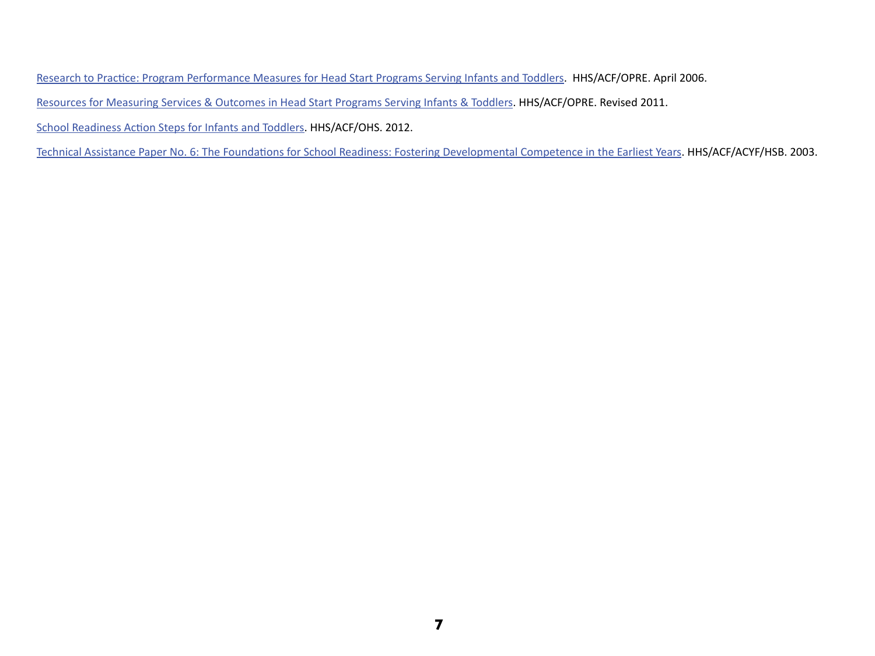[Research to Practice: Program Performance Measures for Head Start Programs Serving Infants and Toddlers.](http://www.acf.hhs.gov/programs/opre/ehs/perf_measures/reports/prgm_perf_measures/prgm_perf_measure_4pg.pdf) HHS/ACF/OPRE. April 2006.

[Resources for Measuring Services & Outcomes in Head Start Programs Serving Infants & Toddlers.](http://www.acf.hhs.gov/programs/opre/ehs/perf_measures/reports/resources_measuring/res_meas_title.html) HHS/ACF/OPRE. Revised 2011.

[School Readiness Action Steps for Infants and Toddlers](http://eclkc.ohs.acf.hhs.gov/hslc/tta-system/ehsnrc/Early%20Head%20Start/early-learning/curriculum/SchoolReadiness.htm). HHS/ACF/OHS. 2012.

[Technical Assistance Paper No. 6: The Foundations for School Readiness: Fostering Developmental Competence in the Earliest Years.](http://eclkc.ohs.acf.hhs.gov/hslc/hs/resources/ECLKC_Bookstore/PDFs/TA6%5B1%5D.pdf) HHS/ACF/ACYF/HSB. 2003.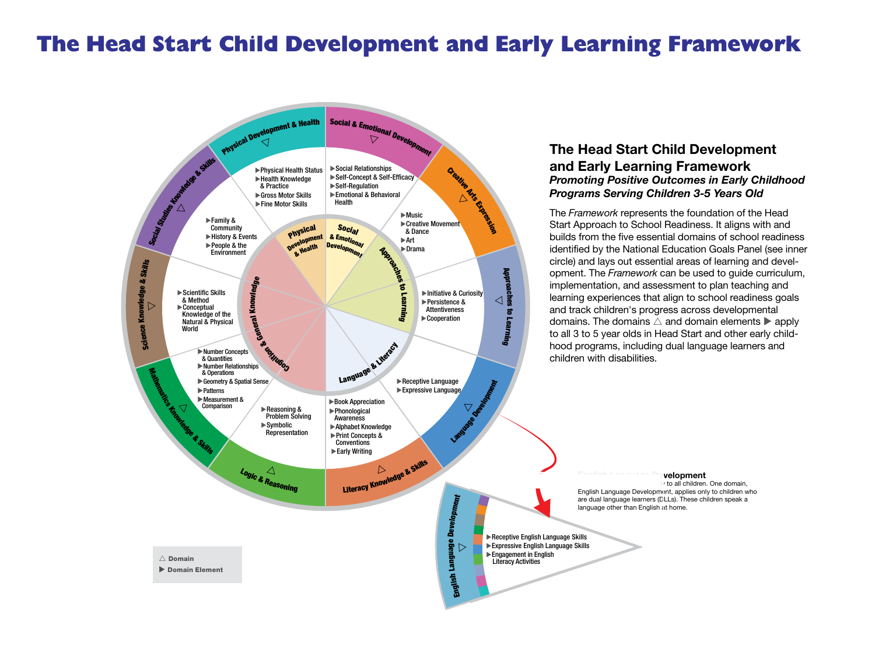### **The Head Start Child Development and Early Learning Framework**